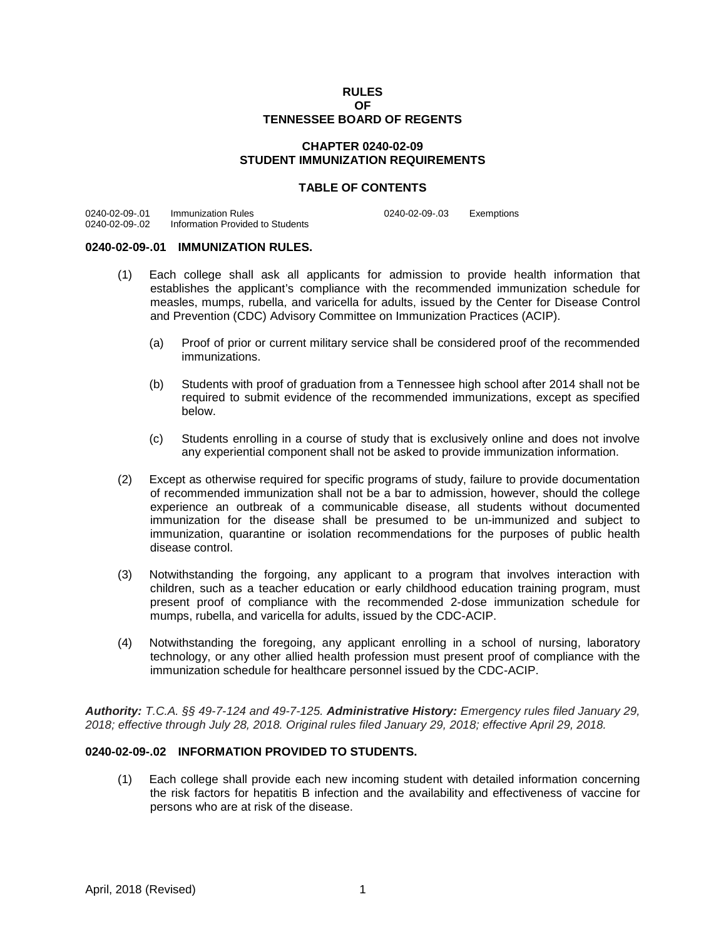#### **RULES OF TENNESSEE BOARD OF REGENTS**

## **CHAPTER 0240-02-09 STUDENT IMMUNIZATION REQUIREMENTS**

#### **TABLE OF CONTENTS**

0240-02-09-.01 Immunization Rules<br>0240-02-09-.02 Information Provider Information Provided to Students 0240-02-09-.03 Exemptions

## **0240-02-09-.01 IMMUNIZATION RULES.**

- (1) Each college shall ask all applicants for admission to provide health information that establishes the applicant's compliance with the recommended immunization schedule for measles, mumps, rubella, and varicella for adults, issued by the Center for Disease Control and Prevention (CDC) Advisory Committee on Immunization Practices (ACIP).
	- (a) Proof of prior or current military service shall be considered proof of the recommended immunizations.
	- (b) Students with proof of graduation from a Tennessee high school after 2014 shall not be required to submit evidence of the recommended immunizations, except as specified below.
	- (c) Students enrolling in a course of study that is exclusively online and does not involve any experiential component shall not be asked to provide immunization information.
- (2) Except as otherwise required for specific programs of study, failure to provide documentation of recommended immunization shall not be a bar to admission, however, should the college experience an outbreak of a communicable disease, all students without documented immunization for the disease shall be presumed to be un-immunized and subject to immunization, quarantine or isolation recommendations for the purposes of public health disease control.
- (3) Notwithstanding the forgoing, any applicant to a program that involves interaction with children, such as a teacher education or early childhood education training program, must present proof of compliance with the recommended 2-dose immunization schedule for mumps, rubella, and varicella for adults, issued by the CDC-ACIP.
- (4) Notwithstanding the foregoing, any applicant enrolling in a school of nursing, laboratory technology, or any other allied health profession must present proof of compliance with the immunization schedule for healthcare personnel issued by the CDC-ACIP.

*Authority: T.C.A. §§ 49-7-124 and 49-7-125. Administrative History: Emergency rules filed January 29, 2018; effective through July 28, 2018. Original rules filed January 29, 2018; effective April 29, 2018.*

# **0240-02-09-.02 INFORMATION PROVIDED TO STUDENTS.**

(1) Each college shall provide each new incoming student with detailed information concerning the risk factors for hepatitis B infection and the availability and effectiveness of vaccine for persons who are at risk of the disease.